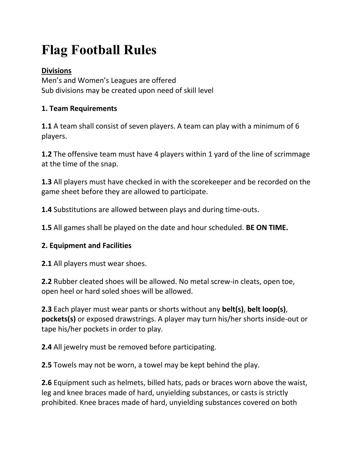# **Flag Football Rules**

# **Divisions**

Men's and Women's Leagues are offered Sub divisions may be created upon need of skill level

# **1. Team Requirements**

**1.1** A team shall consist of seven players. A team can play with a minimum of 6 players.

**1.2** The offensive team must have 4 players within 1 yard of the line of scrimmage at the time of the snap.

**1.3** All players must have checked in with the scorekeeper and be recorded on the game sheet before they are allowed to participate.

**1.4** Substitutions are allowed between plays and during time-outs.

**1.5** All games shall be played on the date and hour scheduled. **BE ON TIME.**

## **2. Equipment and Facilities**

**2.1** All players must wear shoes.

**2.2** Rubber cleated shoes will be allowed. No metal screw-in cleats, open toe, open heel or hard soled shoes will be allowed.

**2.3** Each player must wear pants or shorts without any **belt(s)**, **belt loop(s)**, **pockets(s)** or exposed drawstrings. A player may turn his/her shorts inside-out or tape his/her pockets in order to play.

**2.4** All jewelry must be removed before participating.

**2.5** Towels may not be worn, a towel may be kept behind the play.

**2.6** Equipment such as helmets, billed hats, pads or braces worn above the waist, leg and knee braces made of hard, unyielding substances, or casts is strictly prohibited. Knee braces made of hard, unyielding substances covered on both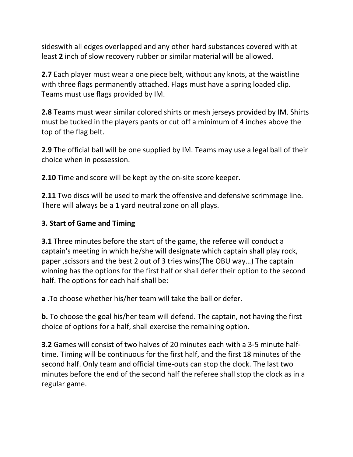sideswith all edges overlapped and any other hard substances covered with at least **2** inch of slow recovery rubber or similar material will be allowed.

**2.7** Each player must wear a one piece belt, without any knots, at the waistline with three flags permanently attached. Flags must have a spring loaded clip. Teams must use flags provided by IM.

**2.8** Teams must wear similar colored shirts or mesh jerseys provided by IM. Shirts must be tucked in the players pants or cut off a minimum of 4 inches above the top of the flag belt.

**2.9** The official ball will be one supplied by IM. Teams may use a legal ball of their choice when in possession.

**2.10** Time and score will be kept by the on-site score keeper.

**2.11** Two discs will be used to mark the offensive and defensive scrimmage line. There will always be a 1 yard neutral zone on all plays.

# **3. Start of Game and Timing**

**3.1** Three minutes before the start of the game, the referee will conduct a captain's meeting in which he/she will designate which captain shall play rock, paper ,scissors and the best 2 out of 3 tries wins(The OBU way…) The captain winning has the options for the first half or shall defer their option to the second half. The options for each half shall be:

**a** .To choose whether his/her team will take the ball or defer.

**b.** To choose the goal his/her team will defend. The captain, not having the first choice of options for a half, shall exercise the remaining option.

**3.2** Games will consist of two halves of 20 minutes each with a 3-5 minute halftime. Timing will be continuous for the first half, and the first 18 minutes of the second half. Only team and official time-outs can stop the clock. The last two minutes before the end of the second half the referee shall stop the clock as in a regular game.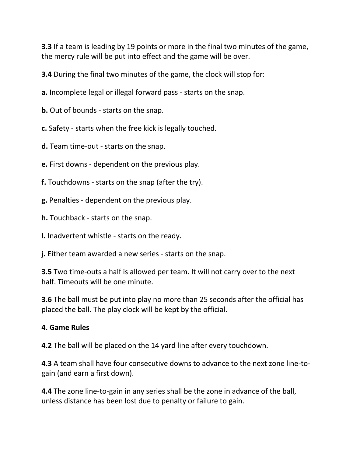**3.3** If a team is leading by 19 points or more in the final two minutes of the game, the mercy rule will be put into effect and the game will be over.

**3.4** During the final two minutes of the game, the clock will stop for:

**a.** Incomplete legal or illegal forward pass - starts on the snap.

**b.** Out of bounds - starts on the snap.

**c.** Safety - starts when the free kick is legally touched.

**d.** Team time-out - starts on the snap.

**e.** First downs - dependent on the previous play.

**f.** Touchdowns - starts on the snap (after the try).

**g.** Penalties - dependent on the previous play.

**h.** Touchback - starts on the snap.

**I.** Inadvertent whistle - starts on the ready.

**j.** Either team awarded a new series - starts on the snap.

**3.5** Two time-outs a half is allowed per team. It will not carry over to the next half. Timeouts will be one minute.

**3.6** The ball must be put into play no more than 25 seconds after the official has placed the ball. The play clock will be kept by the official.

### **4. Game Rules**

**4.2** The ball will be placed on the 14 yard line after every touchdown.

**4.3** A team shall have four consecutive downs to advance to the next zone line-togain (and earn a first down).

**4.4** The zone line-to-gain in any series shall be the zone in advance of the ball, unless distance has been lost due to penalty or failure to gain.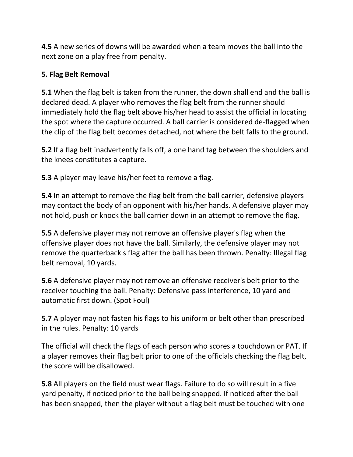**4.5** A new series of downs will be awarded when a team moves the ball into the next zone on a play free from penalty.

## **5. Flag Belt Removal**

**5.1** When the flag belt is taken from the runner, the down shall end and the ball is declared dead. A player who removes the flag belt from the runner should immediately hold the flag belt above his/her head to assist the official in locating the spot where the capture occurred. A ball carrier is considered de-flagged when the clip of the flag belt becomes detached, not where the belt falls to the ground.

**5.2** If a flag belt inadvertently falls off, a one hand tag between the shoulders and the knees constitutes a capture.

**5.3** A player may leave his/her feet to remove a flag.

**5.4** In an attempt to remove the flag belt from the ball carrier, defensive players may contact the body of an opponent with his/her hands. A defensive player may not hold, push or knock the ball carrier down in an attempt to remove the flag.

**5.5** A defensive player may not remove an offensive player's flag when the offensive player does not have the ball. Similarly, the defensive player may not remove the quarterback's flag after the ball has been thrown. Penalty: Illegal flag belt removal, 10 yards.

**5.6** A defensive player may not remove an offensive receiver's belt prior to the receiver touching the ball. Penalty: Defensive pass interference, 10 yard and automatic first down. (Spot Foul)

**5.7** A player may not fasten his flags to his uniform or belt other than prescribed in the rules. Penalty: 10 yards

The official will check the flags of each person who scores a touchdown or PAT. If a player removes their flag belt prior to one of the officials checking the flag belt, the score will be disallowed.

**5.8** All players on the field must wear flags. Failure to do so will result in a five yard penalty, if noticed prior to the ball being snapped. If noticed after the ball has been snapped, then the player without a flag belt must be touched with one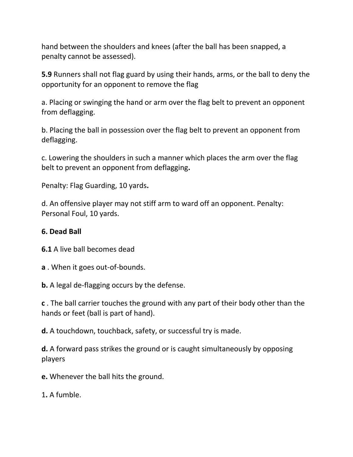hand between the shoulders and knees (after the ball has been snapped, a penalty cannot be assessed).

**5.9** Runners shall not flag guard by using their hands, arms, or the ball to deny the opportunity for an opponent to remove the flag

a. Placing or swinging the hand or arm over the flag belt to prevent an opponent from deflagging.

b. Placing the ball in possession over the flag belt to prevent an opponent from deflagging.

c. Lowering the shoulders in such a manner which places the arm over the flag belt to prevent an opponent from deflagging**.**

Penalty: Flag Guarding, 10 yards**.**

d. An offensive player may not stiff arm to ward off an opponent. Penalty: Personal Foul, 10 yards.

### **6. Dead Ball**

**6.1** A live ball becomes dead

**a** . When it goes out-of-bounds.

**b.** A legal de-flagging occurs by the defense.

**c** . The ball carrier touches the ground with any part of their body other than the hands or feet (ball is part of hand).

**d.** A touchdown, touchback, safety, or successful try is made.

**d.** A forward pass strikes the ground or is caught simultaneously by opposing players

**e.** Whenever the ball hits the ground.

1**.** A fumble.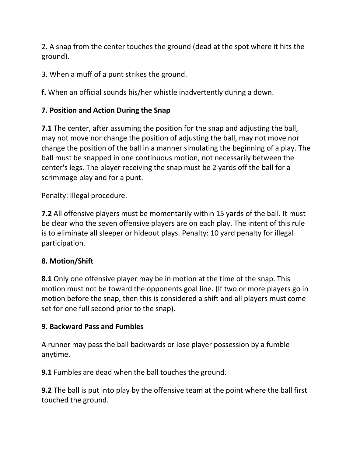2. A snap from the center touches the ground (dead at the spot where it hits the ground).

3. When a muff of a punt strikes the ground.

**f.** When an official sounds his/her whistle inadvertently during a down.

# **7. Position and Action During the Snap**

**7.1** The center, after assuming the position for the snap and adjusting the ball, may not move nor change the position of adjusting the ball, may not move nor change the position of the ball in a manner simulating the beginning of a play. The ball must be snapped in one continuous motion, not necessarily between the center's legs. The player receiving the snap must be 2 yards off the ball for a scrimmage play and for a punt.

Penalty: Illegal procedure.

**7.2** All offensive players must be momentarily within 15 yards of the ball. It must be clear who the seven offensive players are on each play. The intent of this rule is to eliminate all sleeper or hideout plays. Penalty: 10 yard penalty for illegal participation.

# **8. Motion/Shift**

**8.1** Only one offensive player may be in motion at the time of the snap. This motion must not be toward the opponents goal line. (If two or more players go in motion before the snap, then this is considered a shift and all players must come set for one full second prior to the snap).

## **9. Backward Pass and Fumbles**

A runner may pass the ball backwards or lose player possession by a fumble anytime.

**9.1** Fumbles are dead when the ball touches the ground.

**9.2** The ball is put into play by the offensive team at the point where the ball first touched the ground.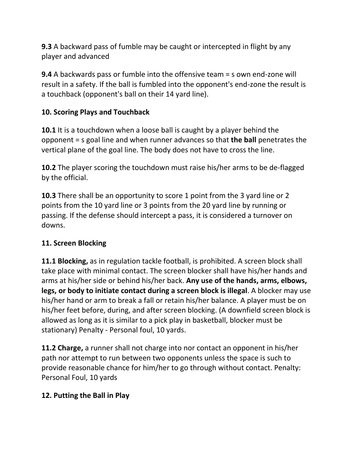**9.3** A backward pass of fumble may be caught or intercepted in flight by any player and advanced

**9.4** A backwards pass or fumble into the offensive team = s own end-zone will result in a safety. If the ball is fumbled into the opponent's end-zone the result is a touchback (opponent's ball on their 14 yard line).

# **10. Scoring Plays and Touchback**

**10.1** It is a touchdown when a loose ball is caught by a player behind the opponent = s goal line and when runner advances so that **the ball** penetrates the vertical plane of the goal line. The body does not have to cross the line.

**10.2** The player scoring the touchdown must raise his/her arms to be de-flagged by the official.

**10.3** There shall be an opportunity to score 1 point from the 3 yard line or 2 points from the 10 yard line or 3 points from the 20 yard line by running or passing. If the defense should intercept a pass, it is considered a turnover on downs.

# **11. Screen Blocking**

**11.1 Blocking,** as in regulation tackle football, is prohibited. A screen block shall take place with minimal contact. The screen blocker shall have his/her hands and arms at his/her side or behind his/her back. **Any use of the hands, arms, elbows, legs, or body to initiate contact during a screen block is illegal**. A blocker may use his/her hand or arm to break a fall or retain his/her balance. A player must be on his/her feet before, during, and after screen blocking. (A downfield screen block is allowed as long as it is similar to a pick play in basketball, blocker must be stationary) Penalty - Personal foul, 10 yards.

**11.2 Charge,** a runner shall not charge into nor contact an opponent in his/her path nor attempt to run between two opponents unless the space is such to provide reasonable chance for him/her to go through without contact. Penalty: Personal Foul, 10 yards

# **12. Putting the Ball in Play**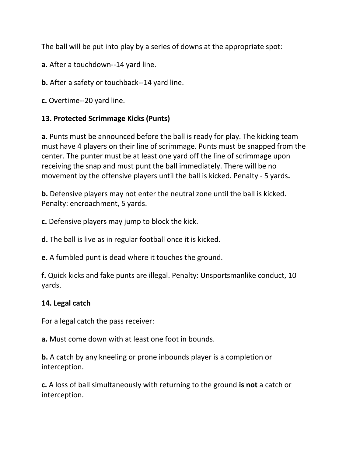The ball will be put into play by a series of downs at the appropriate spot:

**a.** After a touchdown--14 yard line.

**b.** After a safety or touchback--14 yard line.

**c.** Overtime--20 yard line.

## **13. Protected Scrimmage Kicks (Punts)**

**a.** Punts must be announced before the ball is ready for play. The kicking team must have 4 players on their line of scrimmage. Punts must be snapped from the center. The punter must be at least one yard off the line of scrimmage upon receiving the snap and must punt the ball immediately. There will be no movement by the offensive players until the ball is kicked. Penalty - 5 yards**.**

**b.** Defensive players may not enter the neutral zone until the ball is kicked. Penalty: encroachment, 5 yards.

**c.** Defensive players may jump to block the kick.

**d.** The ball is live as in regular football once it is kicked.

**e.** A fumbled punt is dead where it touches the ground.

**f.** Quick kicks and fake punts are illegal. Penalty: Unsportsmanlike conduct, 10 yards.

## **14. Legal catch**

For a legal catch the pass receiver:

**a.** Must come down with at least one foot in bounds.

**b.** A catch by any kneeling or prone inbounds player is a completion or interception.

**c.** A loss of ball simultaneously with returning to the ground **is not** a catch or interception.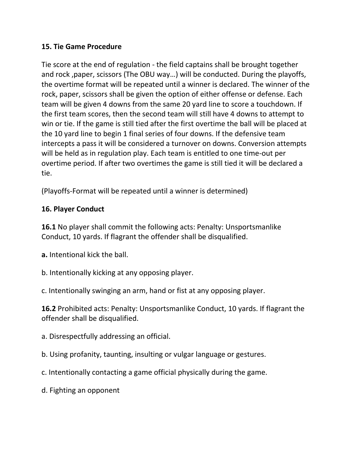## **15. Tie Game Procedure**

Tie score at the end of regulation - the field captains shall be brought together and rock ,paper, scissors (The OBU way…) will be conducted. During the playoffs, the overtime format will be repeated until a winner is declared. The winner of the rock, paper, scissors shall be given the option of either offense or defense. Each team will be given 4 downs from the same 20 yard line to score a touchdown. If the first team scores, then the second team will still have 4 downs to attempt to win or tie. If the game is still tied after the first overtime the ball will be placed at the 10 yard line to begin 1 final series of four downs. If the defensive team intercepts a pass it will be considered a turnover on downs. Conversion attempts will be held as in regulation play. Each team is entitled to one time-out per overtime period. If after two overtimes the game is still tied it will be declared a tie.

(Playoffs-Format will be repeated until a winner is determined)

## **16. Player Conduct**

**16.1** No player shall commit the following acts: Penalty: Unsportsmanlike Conduct, 10 yards. If flagrant the offender shall be disqualified.

**a.** Intentional kick the ball.

b. Intentionally kicking at any opposing player.

c. Intentionally swinging an arm, hand or fist at any opposing player.

**16.2** Prohibited acts: Penalty: Unsportsmanlike Conduct, 10 yards. If flagrant the offender shall be disqualified.

a. Disrespectfully addressing an official.

b. Using profanity, taunting, insulting or vulgar language or gestures.

c. Intentionally contacting a game official physically during the game.

d. Fighting an opponent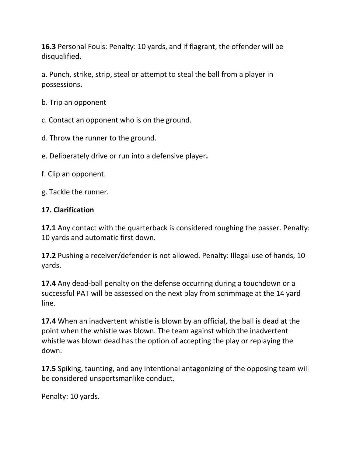**16.3** Personal Fouls: Penalty: 10 yards, and if flagrant, the offender will be disqualified.

a. Punch, strike, strip, steal or attempt to steal the ball from a player in possessions**.**

b. Trip an opponent

c. Contact an opponent who is on the ground.

d. Throw the runner to the ground.

e. Deliberately drive or run into a defensive player**.**

f. Clip an opponent.

g. Tackle the runner.

## **17. Clarification**

**17.1** Any contact with the quarterback is considered roughing the passer. Penalty: 10 yards and automatic first down.

**17.2** Pushing a receiver/defender is not allowed. Penalty: Illegal use of hands, 10 yards.

**17.4** Any dead-ball penalty on the defense occurring during a touchdown or a successful PAT will be assessed on the next play from scrimmage at the 14 yard line.

**17.4** When an inadvertent whistle is blown by an official, the ball is dead at the point when the whistle was blown. The team against which the inadvertent whistle was blown dead has the option of accepting the play or replaying the down.

**17.5** Spiking, taunting, and any intentional antagonizing of the opposing team will be considered unsportsmanlike conduct.

Penalty: 10 yards.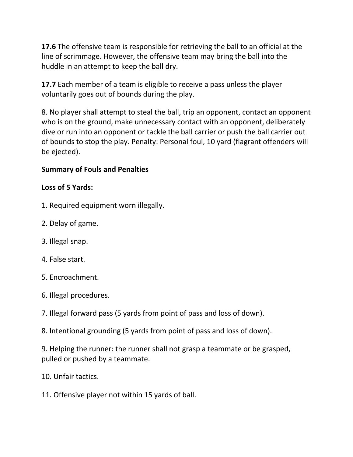**17.6** The offensive team is responsible for retrieving the ball to an official at the line of scrimmage. However, the offensive team may bring the ball into the huddle in an attempt to keep the ball dry.

**17.7** Each member of a team is eligible to receive a pass unless the player voluntarily goes out of bounds during the play.

8. No player shall attempt to steal the ball, trip an opponent, contact an opponent who is on the ground, make unnecessary contact with an opponent, deliberately dive or run into an opponent or tackle the ball carrier or push the ball carrier out of bounds to stop the play. Penalty: Personal foul, 10 yard (flagrant offenders will be ejected).

# **Summary of Fouls and Penalties**

# **Loss of 5 Yards:**

- 1. Required equipment worn illegally.
- 2. Delay of game.
- 3. Illegal snap.
- 4. False start.
- 5. Encroachment.
- 6. Illegal procedures.
- 7. Illegal forward pass (5 yards from point of pass and loss of down).
- 8. Intentional grounding (5 yards from point of pass and loss of down).

9. Helping the runner: the runner shall not grasp a teammate or be grasped, pulled or pushed by a teammate.

- 10. Unfair tactics.
- 11. Offensive player not within 15 yards of ball.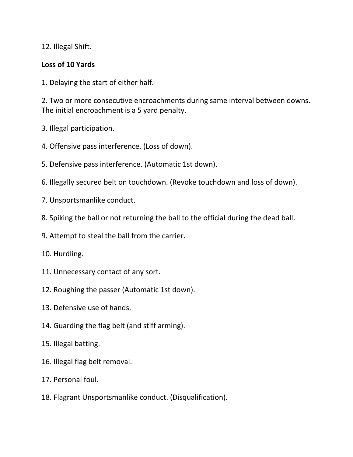12. Illegal Shift.

## **Loss of 10 Yards**

1. Delaying the start of either half.

2. Two or more consecutive encroachments during same interval between downs. The initial encroachment is a 5 yard penalty.

- 3. Illegal participation.
- 4. Offensive pass interference. (Loss of down).
- 5. Defensive pass interference. (Automatic 1st down).
- 6. Illegally secured belt on touchdown. (Revoke touchdown and loss of down).
- 7. Unsportsmanlike conduct.
- 8. Spiking the ball or not returning the ball to the official during the dead ball.
- 9. Attempt to steal the ball from the carrier.
- 10. Hurdling.
- 11. Unnecessary contact of any sort.
- 12. Roughing the passer (Automatic 1st down).
- 13. Defensive use of hands.
- 14. Guarding the flag belt (and stiff arming).
- 15. Illegal batting.
- 16. Illegal flag belt removal.
- 17. Personal foul.
- 18. Flagrant Unsportsmanlike conduct. (Disqualification).